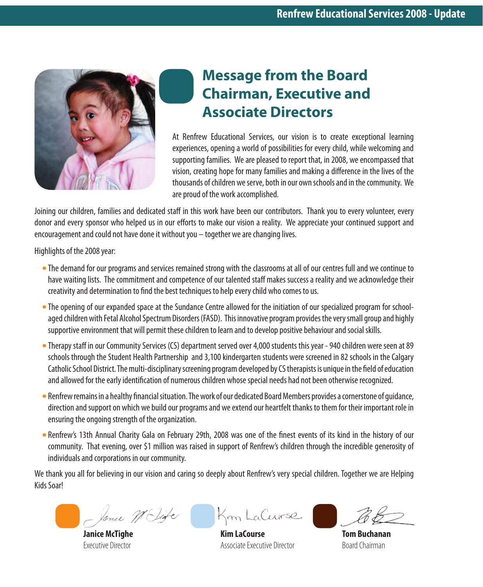

# **Message from the Board Chairman, Executive and Associate Directors**

At Renfrew Educational Services, our vision is to create exceptional learning experiences, opening a world of possibilities for every child, while welcoming and supporting families. We are pleased to report that, in 2008, we encompassed that vision, creating hope for many families and making a difference in the lives of the thousands of children we serve, both in our own schools and in the community. We are proud of the work accomplished.

Joining our children, families and dedicated staff in this work have been our contributors. Thank you to every volunteer, every donor and every sponsor who helped us in our efforts to make our vision a reality. We appreciate your continued support and encouragement and could not have done it without you – together we are changing lives.

Highlights of the 2008 year:

- •The demand for our programs and services remained strong with the classrooms at all of our centres full and we continue to have waiting lists. The commitment and competence of our talented staff makes success a reality and we acknowledge their creativity and determination to find the best techniques to help every child who comes to us.
- •The opening of our expanded space at the Sundance Centre allowed for the initiation of our specialized program for schoolaged children with Fetal Alcohol Spectrum Disorders (FASD). This innovative program provides the very small group and highly supportive environment that will permit these children to learn and to develop positive behaviour and social skills.
- •Therapy staff in our Community Services (CS) department served over 4,000 students this year 940 children were seen at 89 schools through the Student Health Partnership and 3,100 kindergarten students were screened in 82 schools in the Calgary Catholic School District. The multi-disciplinary screening program developed by CS therapists is unique in the field of education and allowed for the early identification of numerous children whose special needs had not been otherwise recognized.
- •Renfrew remains in a healthy financial situation. The work of our dedicated Board Members provides a cornerstone of guidance, direction and support on which we build our programs and we extend our heartfelt thanks to them for their important role in ensuring the ongoing strength of the organization.
- •Renfrew's 13th Annual Charity Gala on February 29th, 2008 was one of the finest events of its kind in the history of our community. That evening, over \$1 million was raised in support of Renfrew's children through the incredible generosity of individuals and corporations in our community.

We thank you all for believing in our vision and caring so deeply about Renfrew's very special children. Together we are Helping Kids Soar!

Jonie Wilife

**Janice McTighe** Executive Director

Km LaCourse

**Kim LaCourse** Associate Executive Director

**Tom Buchanan** Board Chairman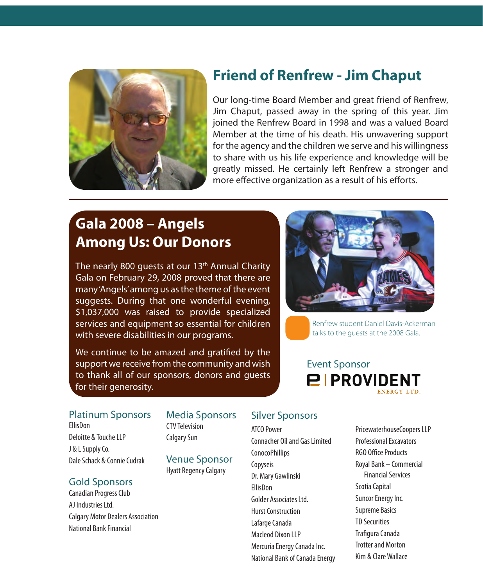

### **Friend of Renfrew - Jim Chaput**

Our long-time Board Member and great friend of Renfrew, Jim Chaput, passed away in the spring of this year. Jim joined the Renfrew Board in 1998 and was a valued Board Member at the time of his death. His unwavering support for the agency and the children we serve and his willingness to share with us his life experience and knowledge will be greatly missed. He certainly left Renfrew a stronger and more effective organization as a result of his efforts.

# **Gala 2008 – Angels Among Us: Our Donors**

The nearly 800 quests at our  $13<sup>th</sup>$  Annual Charity Gala on February 29, 2008 proved that there are many 'Angels' among us as the theme of the event suggests. During that one wonderful evening, \$1,037,000 was raised to provide specialized services and equipment so essential for children with severe disabilities in our programs.

We continue to be amazed and gratified by the support we receive from the community and wish to thank all of our sponsors, donors and guests for their generosity.



Renfrew student Daniel Davis-Ackerman talks to the guests at the 2008 Gala.

### Event Sponsor **PIPROVIDENT ENFRGY LTD**

### Platinum Sponsors Media Sponsors Silver Sponsors

**FllisDon** Deloitte & Touche LLP J & L Supply Co. Dale Schack & Connie Cudrak

### Gold Sponsors

Canadian Progress Club AJ Industries Ltd. Calgary Motor Dealers Association National Bank Financial

### Media Sponsors

CTV Television Calgary Sun

Venue Sponsor Hyatt Regency Calgary

ATCO Power Connacher Oil and Gas Limited ConocoPhillips Copyseis Dr. Mary Gawlinski EllisDon Golder Associates Ltd. Hurst Construction Lafarge Canada Macleod Dixon LLP Mercuria Energy Canada Inc. National Bank of Canada Energy

PricewaterhouseCoopers LLP Professional Excavators RGO Office Products Royal Bank – Commercial Financial Services Scotia Capital Suncor Energy Inc. Supreme Basics TD Securities Trafigura Canada Trotter and Morton Kim & Clare Wallace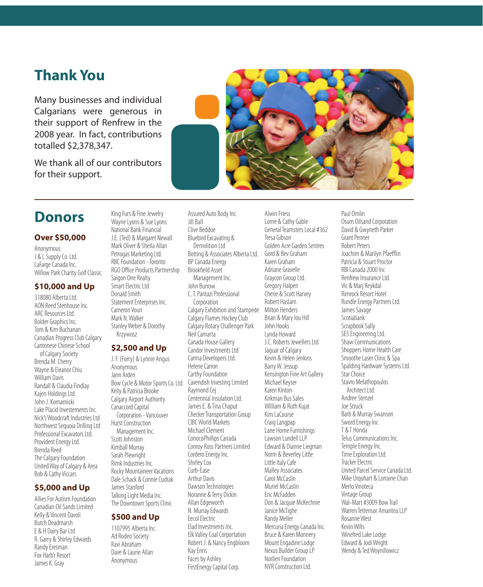### **Thank You**

Many businesses and individual Calgarians were generous in their support of Renfrew in the 2008 year. In fact, contributions totalled \$2,378,347.

We thank all of our contributors for their support.



### **Donors**

#### **Over \$50,000**

Anonymous J & L Supply Co. Ltd. LaFarge Canada Inc. Willow Park Charity Golf Classic

#### **\$10,000 and Up**

318080 Alberta Ltd. AON Reed Stenhouse Inc. ARC Resources Ltd. Bolder Graphics Inc. Tom & Kim Buchanan Canadian Progress Club Calgary Cantonese Chinese School of Calgary Society Brenda M. Cherry Wayne & Eleanor Chiu William Davis Randall & Claudia Findlay Kajen Holdings Ltd. John J. Komarnicki Lake Placid Investements Inc. Nick's Woodcraft Industries Ltd Northwest Sequoia Drilling Ltd Professional Excavators Ltd. Provident Energy Ltd. Brenda Reed The Calgary Foundation United Way of Calgary & Area Bob & Cathy Viccars

#### **\$5,000 and Up**

Allies For Autism Foundation Canadian Oil Sands Limited Kelly & Vincent Davoli Butch Deadmarsh E & H Dairy Bar Ltd R. Garry & Shirley Edwards Randy Eresman Fox Harb'r Resort James K. Gray

Wayne Lyons & Sue Lyons National Bank Financial J.E. (Ted) & Margaret Newall Mark Oliver & Sheila Allan Petrogas Marketing Ltd. RBC Foundation - Toronto RGO Office Products Partnership Saigon One Realty Smart Electric Ltd Donald Smith Statement Enterprises Inc. Cameron Vouri Mark N. Walker Stanley Weber & Dorothy Krzywosz

King Furs & Fine Jewelry

#### **\$2,500 and Up**

J. F. (Forry) & Lynnie Angus Anonymous Jann Arden Bow Cycle & Motor Sports Co. Ltd. Kelly & Patricia Brooke Calgary Airport Authority Canaccord Capital Corporation - Vancouver Hurst Construction Management Inc. Scott Johnston Kimball Murray Sarah Plewright Rimk Industries Inc. Rocky Mountaineer Vacations Dale Schack & Connie Cudrak James Stanford Talking Light Media Inc. The Downtown Sports Clinic

#### **\$500 and Up**

1107995 Alberta Inc. Ad Rodeo Society Ravi Abraham Dave & Laurie Allan Anonymous

Assured Auto Body Inc. Jill Ball Clive Beddoe Bluebird Excavating & Demolition Ltd Botting & Associates Alberta Ltd. BP Canada Energy Brookfield Asset Management Inc. John Burrow C. T. Pantazi Professional Corporation Calgary Exhibition and Stampede Calgary Flames Hockey Club Calgary Rotary Challenger Park Neil Camarta Canada House Gallery Candor Investments Ltd Carma Developers Ltd. Helene Carron Carthy Foundation Cavendish Investing Limited Raymond Cej Centennial Insulation Ltd. James E. & Tina Chaput Checker Transportation Group CIBC World Markets Michael Clement ConocoPhillips Canada Conroy Ross Partners Limited Cordero Energy Inc. Shirley Cox Curb-Ease Arthur Davis Dawson Technologies Noranne & Terry Dickin Allan Edgeworth N. Murray Edwards Eecol Electric Elad Investments Inc. Elk Valley Coal Corportation Robert J. & Nancy Engbloom Kay Enns Faces by Ashley FirstEnergy Capital Corp.

Alwin Friess Lorne & Cathy Gable General Teamsters Local #362 Tresa Gibson Golden Acre Garden Sentres Gord & Bev Graham Karen Graham Adriane Gravelle Graycon Group Ltd. Gregory Halpen Cherie & Scott Harvey Robert Haslam Milton Henders Brian & Mary lou Hill John Hooks Lynda Howard J.C. Roberts Jewellers Ltd Jaguar of Calgary Kevin & Helen Jenkins Barry W. Jessup Kensington Fine Art Gallery Michael Keyser Karen Kinton Kirkman Bus Sales William & Ruth Kujat Kim LaCourse Craig Langpap Lane Home Furnishings Lawson Lundell LLP Edward & Dianne Liegman Norm & Beverley Little Little Italy Cafe Malley Associates Carol McCaslin Muriel McCaslin Eric McFadden Don & Jacquie McKechnie Janice McTighe Randy Meller Mercuria Energy Canada Inc. Bruce & Karen Monnery Mount Engadine Lodge Nexus Builder Group LP Norlien Foundation NVR Construction Ltd.

Paul Omlin Osum Oilsand Corporation David & Gwyneth Parker Grant Penner Robert Peters Joachim & Marilyn Pfaefflin Patricia & Stuart Proctor RBI Canada 2000 Inc Renfrew Insurance Ltd. Vic & Marj Reykdal Rimrock Resort Hotel Rundle Energy Partners Ltd. James Savage Scotiabank Scrapbook Sally SES Engineering Ltd. Shaw Communications Shoppers Home Health Care Smoothe Laser Clinic & Spa Spalding Hardware Systems Ltd. Star Choice Stavro Melathopoulos Architect Ltd. Andree Stenzel Joe Struck Barb & Murray Swanson Sword Energy Inc. T & T Honda Telus Communications Inc. Temple Energy Inc. Time Exploration Ltd. Tracker Electric United Parcel Service Canada Ltd. Mike Urquhart & Lorraine Chan Merlo Vinoteca Vintage Group Wal-Mart #3009 Bow Trail Warren Tettensor Amantea LLP Rosanne West Kevin Wills Winefred Lake Lodge Edward & Jodi Wright Wendy & Ted Woynillowicz